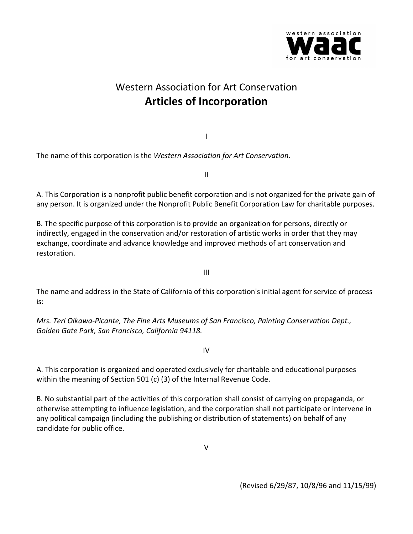

## Western Association for Art Conservation **Articles of Incorporation**

The name of this corporation is the *Western Association for Art Conservation*.

II

I

A. This Corporation is a nonprofit public benefit corporation and is not organized for the private gain of any person. It is organized under the Nonprofit Public Benefit Corporation Law for charitable purposes.

B. The specific purpose of this corporation is to provide an organization for persons, directly or indirectly, engaged in the conservation and/or restoration of artistic works in order that they may exchange, coordinate and advance knowledge and improved methods of art conservation and restoration.

III

The name and address in the State of California of this corporation's initial agent for service of process is:

*Mrs. Teri Oikawa-Picante, The Fine Arts Museums of San Francisco, Painting Conservation Dept., Golden Gate Park, San Francisco, California 94118.*

IV

A. This corporation is organized and operated exclusively for charitable and educational purposes within the meaning of Section 501 (c) (3) of the Internal Revenue Code.

B. No substantial part of the activities of this corporation shall consist of carrying on propaganda, or otherwise attempting to influence legislation, and the corporation shall not participate or intervene in any political campaign (including the publishing or distribution of statements) on behalf of any candidate for public office.